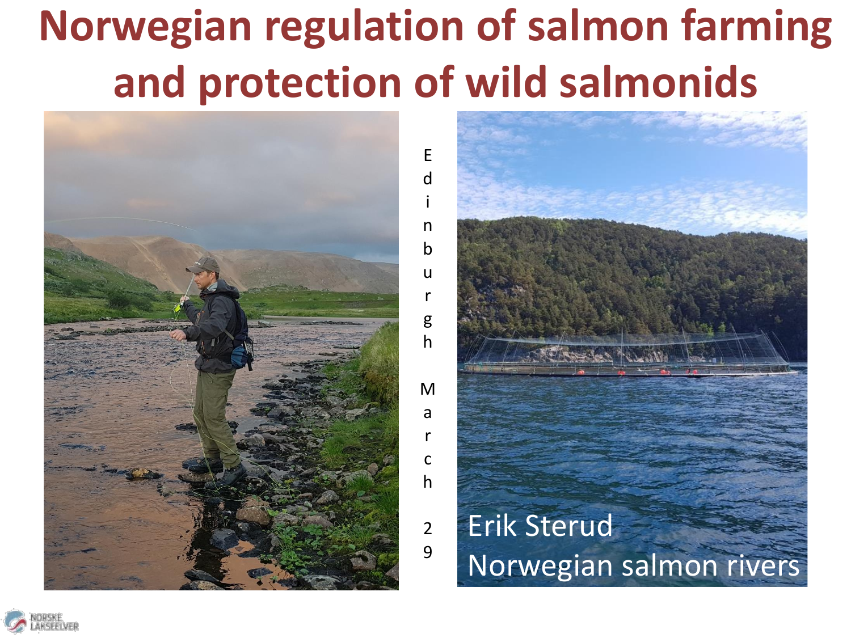# **Norwegian regulation of salmon farming and protection of wild salmonids**

E d

i n b

> u r

g h

M

a r  $\mathsf{C}$ h

2 9





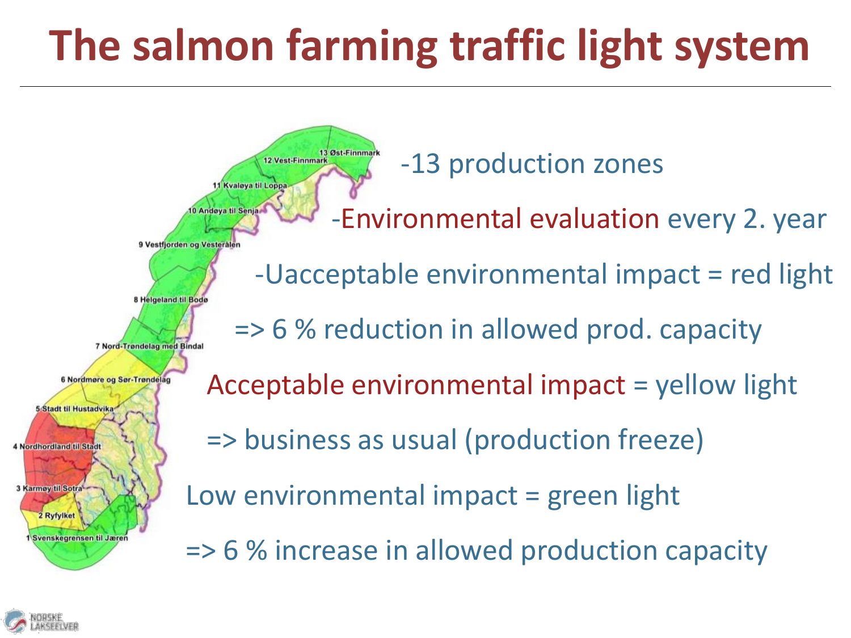# **The salmon farming traffic light system**

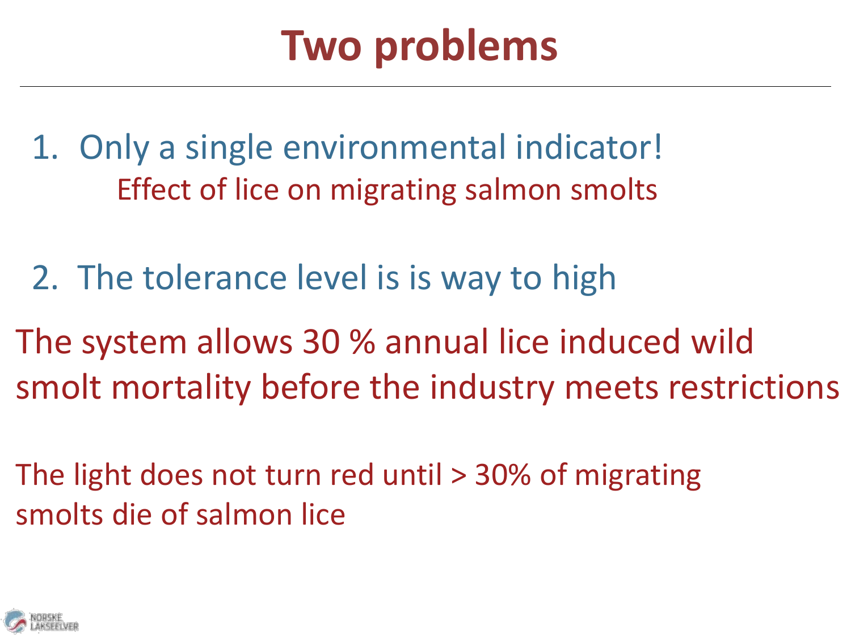## **Two problems**

1. Only a single environmental indicator! Effect of lice on migrating salmon smolts

- 2. The tolerance level is is way to high
- The system allows 30 % annual lice induced wild smolt mortality before the industry meets restrictions
- The light does not turn red until > 30% of migrating smolts die of salmon lice

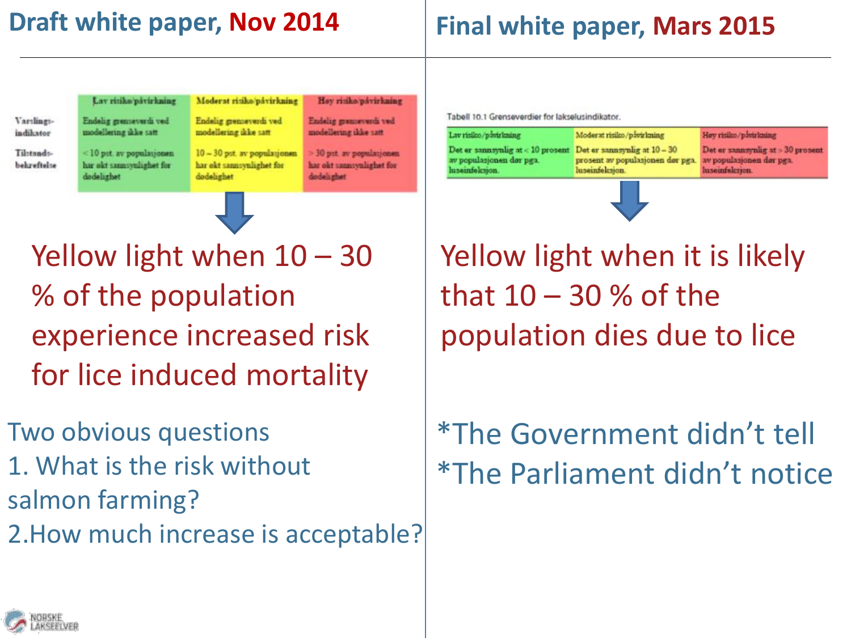#### **Draft white paper, Nov 2014**

#### **Final white paper, Mars 2015**

Vardingsindikator

Til:tandsbekreftelse

<10 pst. av populasjonen har okt sannsynlighet for dodelizhet

modellering ikke satt

Lav ritiko/påvirkning

Endelig grenteverdi ved Endelig grenseverdi ved modellering ikke satt

dodelighet

Moderat ritiko/påvirkning

10 - 30 pst. av populationen

har okt sannsynlighet for

Hay ritiko pávirkning Endelig grenseverdi ved

modellering ikke satt 30 pst. av populatjonen har okt sannsynlighet for

dodelazhet

Tabell 10.1 Grenseverdier for lakselusindikator.

| Lav risilco/pavirlaung                                                                                           | Moderat risiko/pavirlming                                                    | Hoy risilos/pawrlening                               |
|------------------------------------------------------------------------------------------------------------------|------------------------------------------------------------------------------|------------------------------------------------------|
| Det er sannsynlig at $< 10$ prosent Det er sannsynlig at $10 - 30$<br>av populasjonen dør pga.<br>haseinfeksson. | prosent av populasjonen dør pga. Av populasjonen dør pga.<br>luseinfolcsion. | Det er sannsynlig at > 30 propent<br>hasoinfolcsion. |

Yellow light when  $10 - 30$ % of the population experience increased risk for lice induced mortality

Two obvious questions 1. What is the risk without salmon farming? 2.How much increase is acceptable? Yellow light when it is likely that  $10 - 30$  % of the population dies due to lice

### \*The Government didn't tell \*The Parliament didn't notice